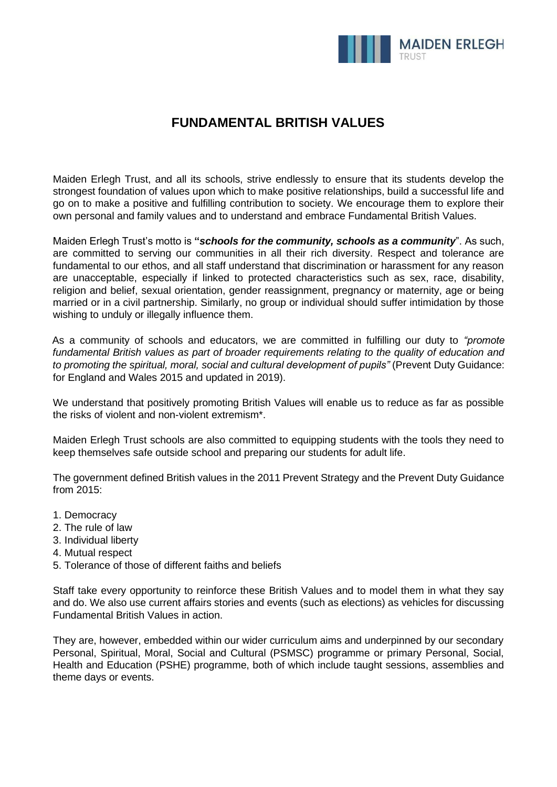

# **FUNDAMENTAL BRITISH VALUES**

Maiden Erlegh Trust, and all its schools, strive endlessly to ensure that its students develop the strongest foundation of values upon which to make positive relationships, build a successful life and go on to make a positive and fulfilling contribution to society. We encourage them to explore their own personal and family values and to understand and embrace Fundamental British Values.

Maiden Erlegh Trust's motto is **"***schools for the community, schools as a community*". As such, are committed to serving our communities in all their rich diversity. Respect and tolerance are fundamental to our ethos, and all staff understand that discrimination or harassment for any reason are unacceptable, especially if linked to protected characteristics such as sex, race, disability, religion and belief, sexual orientation, gender reassignment, pregnancy or maternity, age or being married or in a civil partnership. Similarly, no group or individual should suffer intimidation by those wishing to unduly or illegally influence them.

As a community of schools and educators, we are committed in fulfilling our duty to *"promote fundamental British values as part of broader requirements relating to the quality of education and*  to promoting the spiritual, moral, social and cultural development of pupils" (Prevent Duty Guidance: for England and Wales 2015 and updated in 2019).

We understand that positively promoting British Values will enable us to reduce as far as possible the risks of violent and non-violent extremism\*.

Maiden Erlegh Trust schools are also committed to equipping students with the tools they need to keep themselves safe outside school and preparing our students for adult life.

The government defined British values in the 2011 Prevent Strategy and the Prevent Duty Guidance from 2015:

- 1. Democracy
- 2. The rule of law
- 3. Individual liberty
- 4. Mutual respect
- 5. Tolerance of those of different faiths and beliefs

Staff take every opportunity to reinforce these British Values and to model them in what they say and do. We also use current affairs stories and events (such as elections) as vehicles for discussing Fundamental British Values in action.

They are, however, embedded within our wider curriculum aims and underpinned by our secondary Personal, Spiritual, Moral, Social and Cultural (PSMSC) programme or primary Personal, Social, Health and Education (PSHE) programme, both of which include taught sessions, assemblies and theme days or events.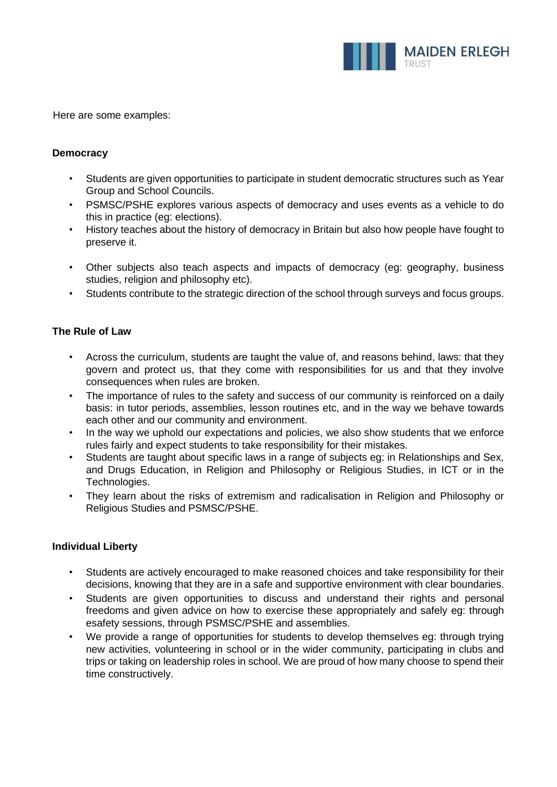

Here are some examples:

## **Democracy**

- Students are given opportunities to participate in student democratic structures such as Year Group and School Councils.
- PSMSC/PSHE explores various aspects of democracy and uses events as a vehicle to do this in practice (eg: elections).
- History teaches about the history of democracy in Britain but also how people have fought to preserve it.
- Other subjects also teach aspects and impacts of democracy (eg: geography, business studies, religion and philosophy etc).
- Students contribute to the strategic direction of the school through surveys and focus groups.

# **The Rule of Law**

- Across the curriculum, students are taught the value of, and reasons behind, laws: that they govern and protect us, that they come with responsibilities for us and that they involve consequences when rules are broken.
- The importance of rules to the safety and success of our community is reinforced on a daily basis: in tutor periods, assemblies, lesson routines etc, and in the way we behave towards each other and our community and environment.
- In the way we uphold our expectations and policies, we also show students that we enforce rules fairly and expect students to take responsibility for their mistakes.
- Students are taught about specific laws in a range of subjects eg: in Relationships and Sex, and Drugs Education, in Religion and Philosophy or Religious Studies, in ICT or in the Technologies.
- They learn about the risks of extremism and radicalisation in Religion and Philosophy or Religious Studies and PSMSC/PSHE.

# **Individual Liberty**

- Students are actively encouraged to make reasoned choices and take responsibility for their decisions, knowing that they are in a safe and supportive environment with clear boundaries.
- Students are given opportunities to discuss and understand their rights and personal freedoms and given advice on how to exercise these appropriately and safely eg: through esafety sessions, through PSMSC/PSHE and assemblies.
- We provide a range of opportunities for students to develop themselves eg: through trying new activities, volunteering in school or in the wider community, participating in clubs and trips or taking on leadership roles in school. We are proud of how many choose to spend their time constructively.